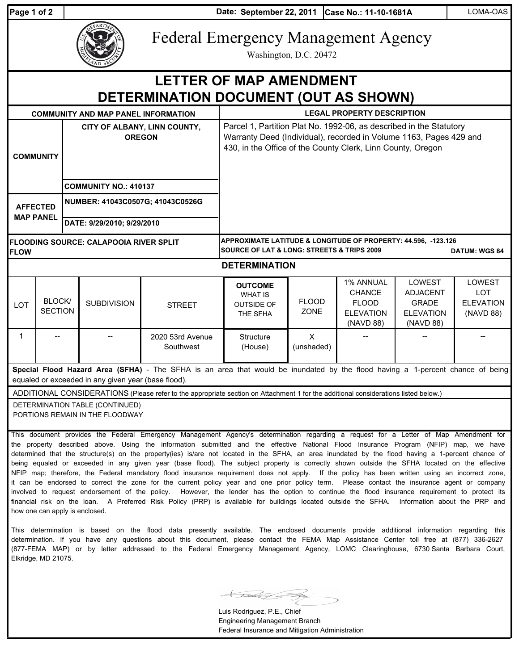**Date: Case No.: 11-10-1681A** LOMA-OAS **Page 1 of 2 September 22, 2011**



Federal Emergency Management Agency

Washington, D.C. 20472

## **DETERMINATION DOCUMENT (OUT AS SHOWN) LETTER OF MAP AMENDMENT**

|                                                                                                                                     |                          |                                               | <b>COMMUNITY AND MAP PANEL INFORMATION</b>                         |                                                                                                                                      | <b>LEGAL PROPERTY DESCRIPTION</b>                                                                                                                                                                        |                            |                                                                             |                                                                            |                                                              |  |
|-------------------------------------------------------------------------------------------------------------------------------------|--------------------------|-----------------------------------------------|--------------------------------------------------------------------|--------------------------------------------------------------------------------------------------------------------------------------|----------------------------------------------------------------------------------------------------------------------------------------------------------------------------------------------------------|----------------------------|-----------------------------------------------------------------------------|----------------------------------------------------------------------------|--------------------------------------------------------------|--|
| <b>COMMUNITY</b>                                                                                                                    |                          | CITY OF ALBANY, LINN COUNTY,<br><b>OREGON</b> |                                                                    |                                                                                                                                      | Parcel 1, Partition Plat No. 1992-06, as described in the Statutory<br>Warranty Deed (Individual), recorded in Volume 1163, Pages 429 and<br>430, in the Office of the County Clerk, Linn County, Oregon |                            |                                                                             |                                                                            |                                                              |  |
|                                                                                                                                     |                          | <b>COMMUNITY NO.: 410137</b>                  |                                                                    |                                                                                                                                      |                                                                                                                                                                                                          |                            |                                                                             |                                                                            |                                                              |  |
| <b>AFFECTED</b><br><b>MAP PANEL</b>                                                                                                 |                          | NUMBER: 41043C0507G; 41043C0526G              |                                                                    |                                                                                                                                      |                                                                                                                                                                                                          |                            |                                                                             |                                                                            |                                                              |  |
|                                                                                                                                     |                          | DATE: 9/29/2010; 9/29/2010                    |                                                                    |                                                                                                                                      |                                                                                                                                                                                                          |                            |                                                                             |                                                                            |                                                              |  |
| <b>FLOW</b>                                                                                                                         |                          | <b>FLOODING SOURCE: CALAPOOIA RIVER SPLIT</b> |                                                                    |                                                                                                                                      | APPROXIMATE LATITUDE & LONGITUDE OF PROPERTY: 44.596, -123.126<br><b>SOURCE OF LAT &amp; LONG: STREETS &amp; TRIPS 2009</b><br><b>DATUM: WGS 84</b>                                                      |                            |                                                                             |                                                                            |                                                              |  |
| <b>DETERMINATION</b>                                                                                                                |                          |                                               |                                                                    |                                                                                                                                      |                                                                                                                                                                                                          |                            |                                                                             |                                                                            |                                                              |  |
| <b>LOT</b>                                                                                                                          | BLOCK/<br><b>SECTION</b> |                                               | <b>SUBDIVISION</b>                                                 | <b>STREET</b>                                                                                                                        | <b>OUTCOME</b><br><b>WHAT IS</b><br><b>OUTSIDE OF</b><br>THE SFHA                                                                                                                                        | <b>FLOOD</b><br>ZONE       | 1% ANNUAL<br><b>CHANCE</b><br><b>FLOOD</b><br><b>ELEVATION</b><br>(NAVD 88) | LOWEST<br><b>ADJACENT</b><br><b>GRADE</b><br><b>ELEVATION</b><br>(NAVD 88) | <b>LOWEST</b><br><b>LOT</b><br><b>ELEVATION</b><br>(NAVD 88) |  |
| 1                                                                                                                                   |                          |                                               |                                                                    | 2020 53rd Avenue<br>Southwest                                                                                                        | <b>Structure</b><br>(House)                                                                                                                                                                              | $\mathsf{x}$<br>(unshaded) |                                                                             |                                                                            |                                                              |  |
|                                                                                                                                     |                          |                                               | equaled or exceeded in any given year (base flood).                | Special Flood Hazard Area (SFHA) - The SFHA is an area that would be inundated by the flood having a 1-percent chance of being       |                                                                                                                                                                                                          |                            |                                                                             |                                                                            |                                                              |  |
| ADDITIONAL CONSIDERATIONS (Please refer to the appropriate section on Attachment 1 for the additional considerations listed below.) |                          |                                               |                                                                    |                                                                                                                                      |                                                                                                                                                                                                          |                            |                                                                             |                                                                            |                                                              |  |
|                                                                                                                                     |                          |                                               | DETERMINATION TABLE (CONTINUED)<br>PORTIONS REMAIN IN THE FLOODWAY | This decument provides the Eoderal Emergency Management Agency's determination regarding a request for a Letter of Man Amendment for |                                                                                                                                                                                                          |                            |                                                                             |                                                                            |                                                              |  |

This document provides the Federal Emergency Management Agency's determination regarding a request for a Letter of Map Amendment for the property described above. Using the information submitted and the effective National Flood Insurance Program (NFIP) map, we have determined that the structure(s) on the property(ies) is/are not located in the SFHA, an area inundated by the flood having a 1-percent chance of being equaled or exceeded in any given year (base flood). The subject property is correctly shown outside the SFHA located on the effective NFIP map; therefore, the Federal mandatory flood insurance requirement does not apply. If the policy has been written using an incorrect zone, it can be endorsed to correct the zone for the current policy year and one prior policy term. Please contact the insurance agent or company involved to request endorsement of the policy. However, the lender has the option to continue the flood insurance requirement to protect its financial risk on the loan. A Preferred Risk Policy (PRP) is available for buildings located outside the SFHA. Information about the PRP and how one can apply is enclosed.

This determination is based on the flood data presently available. The enclosed documents provide additional information regarding this determination. If you have any questions about this document, please contact the FEMA Map Assistance Center toll free at (877) 336-2627 (877-FEMA MAP) or by letter addressed to the Federal Emergency Management Agency, LOMC Clearinghouse, 6730 Santa Barbara Court, Elkridge, MD 21075.

Luis Rodriguez, P.E., Chief Engineering Management Branch Federal Insurance and Mitigation Administration